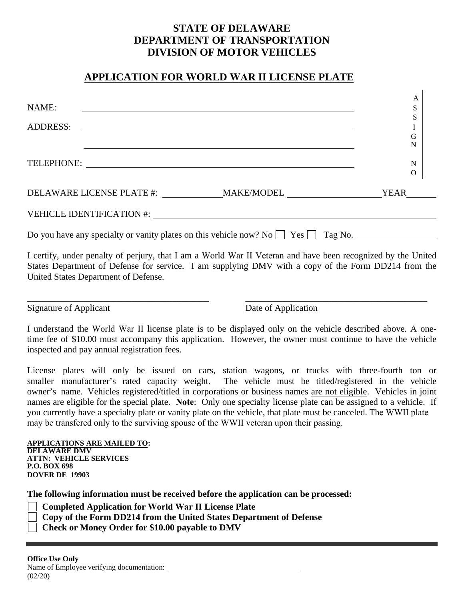## **STATE OF DELAWARE DEPARTMENT OF TRANSPORTATION DIVISION OF MOTOR VEHICLES**

## **APPLICATION FOR WORLD WAR II LICENSE PLATE**

| NAME:<br><b>ADDRESS:</b><br><u> 1989 - Andrea Branden, amerikansk politik (d. 1989)</u>                                                                                                                                                                                                                                | A<br>S<br>S<br>I<br>G          |
|------------------------------------------------------------------------------------------------------------------------------------------------------------------------------------------------------------------------------------------------------------------------------------------------------------------------|--------------------------------|
| TELEPHONE: New York Contract the Contract of the Contract of the Contract of the Contract of the Contract of the Contract of the Contract of the Contract of the Contract of the Contract of the Contract of the Contract of t                                                                                         | N<br>${\bf N}$<br>$\mathbf{O}$ |
| DELAWARE LICENSE PLATE #: ______________MAKE/MODEL _____________________________YEAR_____                                                                                                                                                                                                                              |                                |
|                                                                                                                                                                                                                                                                                                                        |                                |
| Do you have any specialty or vanity plates on this vehicle now? No $\Box$ Yes $\Box$ Tag No.                                                                                                                                                                                                                           |                                |
| I certify, under penalty of perjury, that I am a World War II Veteran and have been recognized by the United<br>States Department of Defense for service. I am supplying DMV with a copy of the Form DD214 from the<br>United States Department of Defense.                                                            |                                |
| <b>Signature of Applicant</b><br>Date of Application                                                                                                                                                                                                                                                                   |                                |
| I understand the World War II license plate is to be displayed only on the vehicle described above. A one-<br>time fee of \$10.00 must accompany this application. However, the owner must continue to have the vehicle<br>inspected and pay annual registration fees.                                                 |                                |
| License plates will only be issued on cars, station wagons, or trucks with three-fourth ton or<br>smaller manufacturer's rated capacity weight. The vehicle must be titled/registered in the vehicle<br>owner's name. Vehicles registered/titled in corporations or business names are not eligible. Vehicles in joint |                                |

owner's name. Vehicles registered/titled in corporations or business names are not eligible. Vehicles in joint names are eligible for the special plate. **Note**: Only one specialty license plate can be assigned to a vehicle. If you currently have a specialty plate or vanity plate on the vehicle, that plate must be canceled. The WWII plate may be transfered only to the surviving spouse of the WWII veteran upon their passing.

| <b>APPLICATIONS ARE MAILED TO:</b> |
|------------------------------------|
| <b>DELAWARE DMV</b>                |
| <b>ATTN: VEHICLE SERVICES</b>      |
| <b>P.O. BOX 698</b>                |
| <b>DOVER DE 19903</b>              |

**The following information must be received before the application can be processed:** 

- **Completed Application for World War II License Plate**
- **Copy of the Form DD214 from the United States Department of Defense**
- **Check or Money Order for \$10.00 payable to DMV**